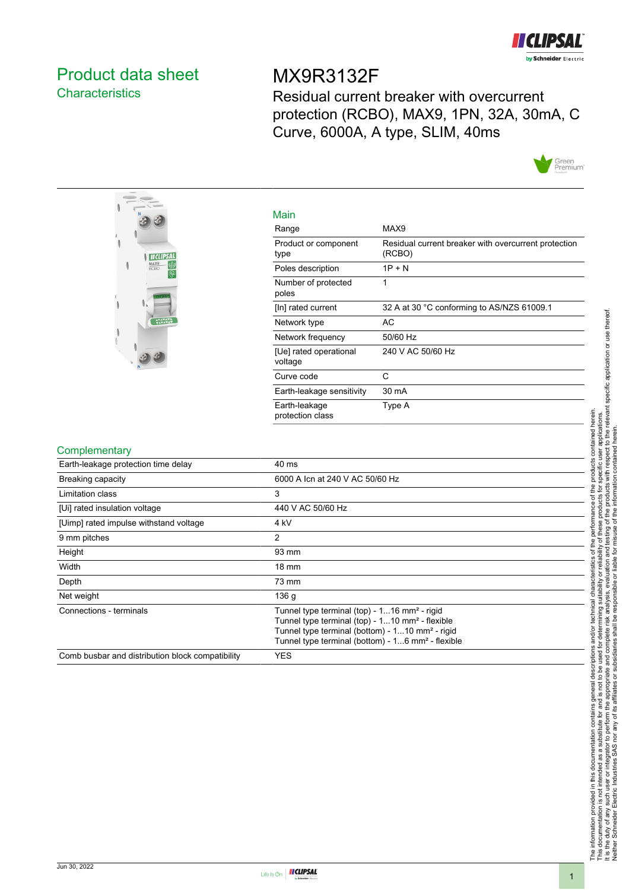

# <span id="page-0-0"></span>Product data sheet **Characteristics**

# MX9R3132F

Residual current breaker with overcurrent protection (RCBO), MAX9, 1PN, 32A, 30mA, C Curve, 6000A, A type, SLIM, 40ms





| Main                         |                                                                |  |
|------------------------------|----------------------------------------------------------------|--|
| Range                        | MAX9                                                           |  |
| Product or component<br>type | Residual current breaker with overcurrent protection<br>(RCBO) |  |
| Poles description            | $1P + N$                                                       |  |
| Number of protected<br>poloc |                                                                |  |

| Number of protected<br>poles      |                                            |
|-----------------------------------|--------------------------------------------|
| [In] rated current                | 32 A at 30 °C conforming to AS/NZS 61009.1 |
| Network type                      | AC                                         |
| Network frequency                 | 50/60 Hz                                   |
| [Ue] rated operational<br>voltage | 240 V AC 50/60 Hz                          |
| Curve code                        | С                                          |
| Earth-leakage sensitivity         | $30 \text{ mA}$                            |
| Earth-leakage<br>protection class | Type A                                     |

#### Complementary

| <b>COMPLEMENT CONTROL</b>                        |                                                                                                                                                                                                                                                         |
|--------------------------------------------------|---------------------------------------------------------------------------------------------------------------------------------------------------------------------------------------------------------------------------------------------------------|
| Earth-leakage protection time delay              | 40 ms                                                                                                                                                                                                                                                   |
| <b>Breaking capacity</b>                         | 6000 A Icn at 240 V AC 50/60 Hz                                                                                                                                                                                                                         |
| Limitation class                                 | 3                                                                                                                                                                                                                                                       |
| [Ui] rated insulation voltage                    | 440 V AC 50/60 Hz                                                                                                                                                                                                                                       |
| [Uimp] rated impulse withstand voltage           | 4 kV                                                                                                                                                                                                                                                    |
| 9 mm pitches                                     | 2                                                                                                                                                                                                                                                       |
| Height                                           | 93 mm                                                                                                                                                                                                                                                   |
| Width                                            | $18 \text{ mm}$                                                                                                                                                                                                                                         |
| Depth                                            | 73 mm                                                                                                                                                                                                                                                   |
| Net weight                                       | 136 <sub>g</sub>                                                                                                                                                                                                                                        |
| Connections - terminals                          | Tunnel type terminal (top) - 116 mm <sup>2</sup> - rigid<br>Tunnel type terminal (top) - 110 mm <sup>2</sup> - flexible<br>Tunnel type terminal (bottom) - 110 mm <sup>2</sup> - rigid<br>Tunnel type terminal (bottom) - 16 mm <sup>2</sup> - flexible |
| Comb busbar and distribution block compatibility | <b>YES</b>                                                                                                                                                                                                                                              |
|                                                  |                                                                                                                                                                                                                                                         |